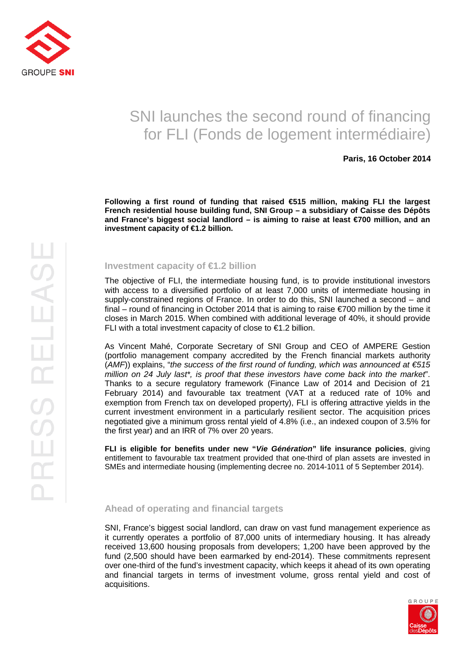

# SNI launches the second round of financing for FLI (Fonds de logement intermédiaire)

## **Paris, 16 October 2014**

**Following a first round of funding that raised €515 million, making FLI the largest French residential house building fund, SNI Group – a subsidiary of Caisse des Dépôts and France's biggest social landlord – is aiming to raise at least €700 million, and an investment capacity of €1.2 billion.** 

### **Investment capacity of €1.2 billion**

The objective of FLI, the intermediate housing fund, is to provide institutional investors with access to a diversified portfolio of at least 7,000 units of intermediate housing in supply-constrained regions of France. In order to do this, SNI launched a second – and final – round of financing in October 2014 that is aiming to raise €700 million by the time it closes in March 2015. When combined with additional leverage of 40%, it should provide FLI with a total investment capacity of close to  $\epsilon$ 1.2 billion.

As Vincent Mahé, Corporate Secretary of SNI Group and CEO of AMPERE Gestion (portfolio management company accredited by the French financial markets authority (AMF)) explains, "the success of the first round of funding, which was announced at  $\epsilon$ 515 million on 24 July last\*, is proof that these investors have come back into the market". Thanks to a secure regulatory framework (Finance Law of 2014 and Decision of 21 February 2014) and favourable tax treatment (VAT at a reduced rate of 10% and exemption from French tax on developed property), FLI is offering attractive yields in the current investment environment in a particularly resilient sector. The acquisition prices negotiated give a minimum gross rental yield of 4.8% (i.e., an indexed coupon of 3.5% for the first year) and an IRR of 7% over 20 years.

**FLI is eligible for benefits under new "Vie Génération" life insurance policies**, giving entitlement to favourable tax treatment provided that one-third of plan assets are invested in SMEs and intermediate housing (implementing decree no. 2014-1011 of 5 September 2014).

#### **Ahead of operating and financial targets**

SNI, France's biggest social landlord, can draw on vast fund management experience as it currently operates a portfolio of 87,000 units of intermediary housing. It has already received 13,600 housing proposals from developers; 1,200 have been approved by the fund (2,500 should have been earmarked by end-2014). These commitments represent over one-third of the fund's investment capacity, which keeps it ahead of its own operating and financial targets in terms of investment volume, gross rental yield and cost of acquisitions.